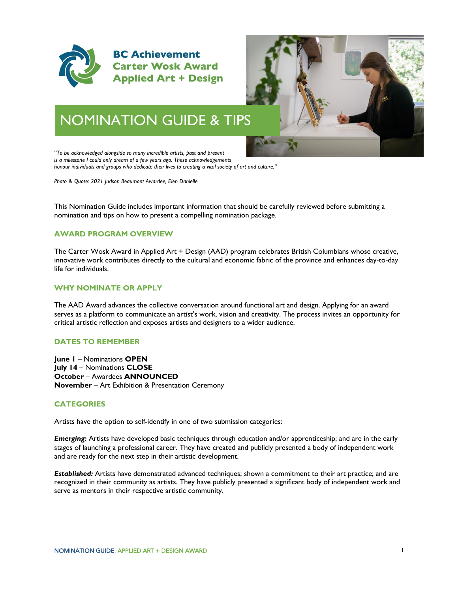



# NOMINATION GUIDE & TIPS

*"To be acknowledged alongside so many incredible artists, past and present is a milestone I could only dream of a few years ago. These acknowledgements honour individuals and groups who dedicate their lives to creating a vital society of art and culture."*

*Photo & Quote: 2021 Judson Beaumont Awardee, Elen Danielle*

This Nomination Guide includes important information that should be carefully reviewed before submitting a nomination and tips on how to present a compelling nomination package.

# **AWARD PROGRAM OVERVIEW**

The Carter Wosk Award in Applied Art + Design (AAD) program celebrates British Columbians whose creative, innovative work contributes directly to the cultural and economic fabric of the province and enhances day-to-day life for individuals.

# **WHY NOMINATE OR APPLY**

The AAD Award advances the collective conversation around functional art and design. Applying for an award serves as a platform to communicate an artist's work, vision and creativity. The process invites an opportunity for critical artistic reflection and exposes artists and designers to a wider audience.

## **DATES TO REMEMBER**

**June 1** – Nominations **OPEN July 14** – Nominations **CLOSE October** – Awardees **ANNOUNCED November** – Art Exhibition & Presentation Ceremony

## **CATEGORIES**

Artists have the option to self-identify in one of two submission categories:

*Emerging:* Artists have developed basic techniques through education and/or apprenticeship; and are in the early stages of launching a professional career. They have created and publicly presented a body of independent work and are ready for the next step in their artistic development.

*Established:* Artists have demonstrated advanced techniques; shown a commitment to their art practice; and are recognized in their community as artists. They have publicly presented a significant body of independent work and serve as mentors in their respective artistic community.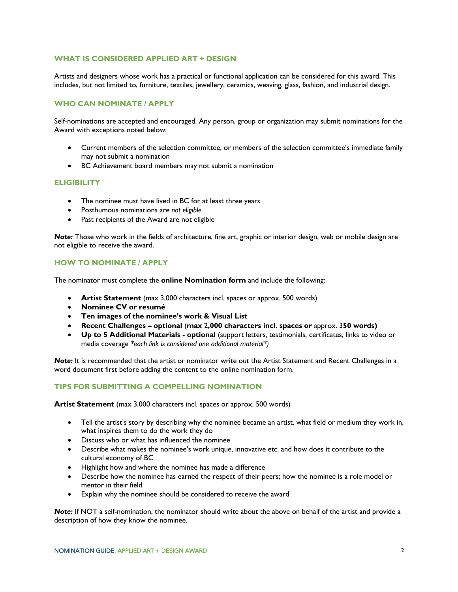## **WHAT IS CONSIDERED APPLIED ART + DESIGN**

Artists and designers whose work has a practical or functional application can be considered for this award. This includes, but not limited to, furniture, textiles, jewellery, ceramics, weaving, glass, fashion, and industrial design.

#### **WHO CAN NOMINATE / APPLY**

Self-nominations are accepted and encouraged. Any person, group or organization may submit nominations for the Award with exceptions noted below:

- Current members of the selection committee, or members of the selection committee's immediate family may not submit a nomination
- BC Achievement board members may not submit a nomination

#### **ELIGIBILITY**

- The nominee must have lived in BC for at least three years
- Posthumous nominations are *not eligible*
- Past recipients of the Award are not eligible

*Note:* Those who work in the fields of architecture, fine art, graphic or interior design, web or mobile design are not eligible to receive the award.

## **HOW TO NOMINATE / APPLY**

The nominator must complete the **online Nomination form** and include the following:

- **Artist Statement** (max 3,000 characters incl. spaces or approx. 500 words)
- **Nominee CV or resumé**
- **Ten images of the nominee's work & Visual List**
- **Recent Challenges – optional** (**max** 2**,000 characters incl. spaces or** approx. 3**50 words)**
- **Up to 5 Additional Materials - optional** (support letters, testimonials, certificates, links to video or media coverage *\*each link is considered one additional material\*)*

*Note:* It is recommended that the artist or nominator write out the Artist Statement and Recent Challenges in a word document first before adding the content to the online nomination form.

## **TIPS FOR SUBMITTING A COMPELLING NOMINATION**

**Artist Statement** (max 3,000 characters incl. spaces or approx. 500 words)

- Tell the artist's story by describing why the nominee became an artist, what field or medium they work in, what inspires them to do the work they do
- Discuss who or what has influenced the nominee
- Describe what makes the nominee's work unique, innovative etc. and how does it contribute to the cultural economy of BC
- Highlight how and where the nominee has made a difference
- Describe how the nominee has earned the respect of their peers; how the nominee is a role model or mentor in their field
- Explain why the nominee should be considered to receive the award

**Note:** If NOT a self-nomination, the nominator should write about the above on behalf of the artist and provide a description of how they know the nominee.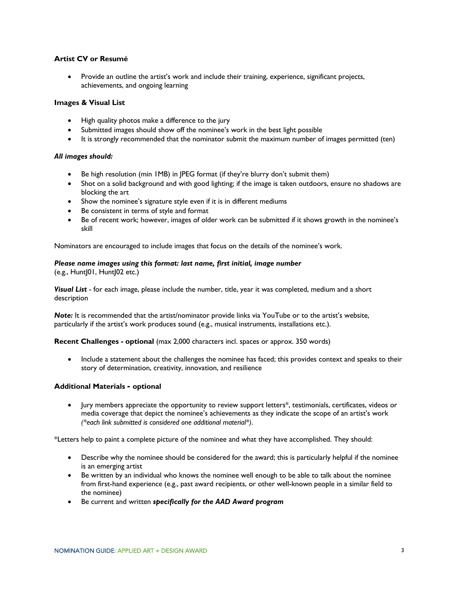# **Artist CV or Resumé**

• Provide an outline the artist's work and include their training, experience, significant projects, achievements, and ongoing learning

#### **Images & Visual List**

- High quality photos make a difference to the jury
- Submitted images should show off the nominee's work in the best light possible
- It is strongly recommended that the nominator submit the maximum number of images permitted (ten)

#### *All images should:*

- Be high resolution (min IMB) in JPEG format (if they're blurry don't submit them)
- Shot on a solid background and with good lighting; if the image is taken outdoors, ensure no shadows are blocking the art
- Show the nominee's signature style even if it is in different mediums
- Be consistent in terms of style and format
- Be of recent work; however, images of older work can be submitted if it shows growth in the nominee's skill

Nominators are encouraged to include images that focus on the details of the nominee's work.

# *Please name images using this format: last name, first initial, image number*

(e.g., HuntJ01, HuntJ02 etc.)

*Visual List* - for each image, please include the number, title, year it was completed, medium and a short description

**Note:** It is recommended that the artist/nominator provide links via YouTube or to the artist's website, particularly if the artist's work produces sound (e.g., musical instruments, installations etc.).

**Recent Challenges - optional** (max 2,000 characters incl. spaces or approx. 350 words)

• Include a statement about the challenges the nominee has faced; this provides context and speaks to their story of determination, creativity, innovation, and resilience

## **Additional Materials - optional**

• Jury members appreciate the opportunity to review support letters\*, testimonials, certificates, videos or media coverage that depict the nominee's achievements as they indicate the scope of an artist's work *(\*each link submitted is considered one additional material\*)*.

\*Letters help to paint a complete picture of the nominee and what they have accomplished. They should:

- Describe why the nominee should be considered for the award; this is particularly helpful if the nominee is an emerging artist
- Be written by an individual who knows the nominee well enough to be able to talk about the nominee from first-hand experience (e.g., past award recipients, or other well-known people in a similar field to the nominee)
- Be current and written *specifically for the AAD Award program*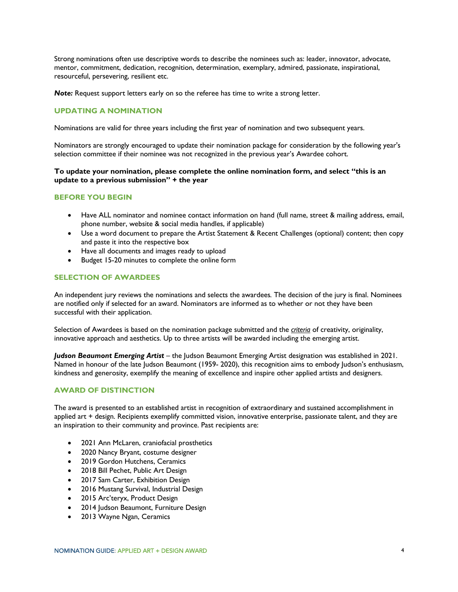Strong nominations often use descriptive words to describe the nominees such as: leader, innovator, advocate, mentor, commitment, dedication, recognition, determination, exemplary, admired, passionate, inspirational, resourceful, persevering, resilient etc.

*Note:* Request support letters early on so the referee has time to write a strong letter.

# **UPDATING A NOMINATION**

Nominations are valid for three years including the first year of nomination and two subsequent years.

Nominators are strongly encouraged to update their nomination package for consideration by the following year's selection committee if their nominee was not recognized in the previous year's Awardee cohort.

#### **To update your nomination, please complete the online nomination form, and select "this is an update to a previous submission" + the year**

#### **BEFORE YOU BEGIN**

- Have ALL nominator and nominee contact information on hand (full name, street & mailing address, email, phone number, website & social media handles, if applicable)
- Use a word document to prepare the Artist Statement & Recent Challenges (optional) content; then copy and paste it into the respective box
- Have all documents and images ready to upload
- Budget 15-20 minutes to complete the online form

#### **SELECTION OF AWARDEES**

An independent jury reviews the nominations and selects the awardees*.* The decision of the jury is final. Nominees are notified only if selected for an award. Nominators are informed as to whether or not they have been successful with their application.

Selection of Awardees is based on the nomination package submitted and the *criteria* of creativity, originality, innovative approach and aesthetics. Up to three artists will be awarded including the emerging artist.

*Judson Beaumont Emerging Artist –* the Judson Beaumont Emerging Artist designation was established in 2021. Named in honour of the late Judson Beaumont (1959- 2020), this recognition aims to embody Judson's enthusiasm, kindness and generosity, exemplify the meaning of excellence and inspire other applied artists and designers.

# **AWARD OF DISTINCTION**

The award is presented to an established artist in recognition of extraordinary and sustained accomplishment in applied art + design. Recipients exemplify committed vision, innovative enterprise, passionate talent, and they are an inspiration to their community and province. Past recipients are:

- 2021 Ann McLaren, craniofacial prosthetics
- 2020 Nancy Bryant, costume designer
- 2019 Gordon Hutchens, Ceramics
- 2018 Bill Pechet, Public Art Design
- 2017 Sam Carter, Exhibition Design
- 2016 Mustang Survival, Industrial Design
- 2015 Arc'teryx, Product Design
- 2014 Judson Beaumont, Furniture Design
- 2013 Wayne Ngan, Ceramics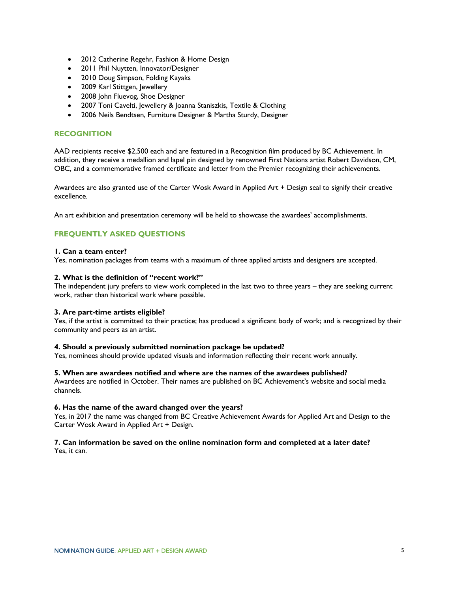- 2012 Catherine Regehr, Fashion & Home Design
- 2011 Phil Nuytten, Innovator/Designer
- 2010 Doug Simpson, Folding Kayaks
- 2009 Karl Stittgen, Jewellery
- 2008 John Fluevog, Shoe Designer
- 2007 Toni Cavelti, Jewellery & Joanna Staniszkis, Textile & Clothing
- 2006 Neils Bendtsen, Furniture Designer & Martha Sturdy, Designer

# **RECOGNITION**

AAD recipients receive \$2,500 each and are featured in a Recognition film produced by BC Achievement. In addition, they receive a medallion and lapel pin designed by renowned First Nations artist Robert Davidson, CM, OBC, and a commemorative framed certificate and letter from the Premier recognizing their achievements.

Awardees are also granted use of the Carter Wosk Award in Applied Art + Design seal to signify their creative excellence.

An art exhibition and presentation ceremony will be held to showcase the awardees' accomplishments.

# **FREQUENTLY ASKED QUESTIONS**

## **1. Can a team enter?**

Yes, nomination packages from teams with a maximum of three applied artists and designers are accepted.

#### **2. What is the definition of "recent work?"**

The independent jury prefers to view work completed in the last two to three years – they are seeking current work, rather than historical work where possible.

#### **3. Are part-time artists eligible?**

Yes, if the artist is committed to their practice; has produced a significant body of work; and is recognized by their community and peers as an artist.

## **4. Should a previously submitted nomination package be updated?**

Yes, nominees should provide updated visuals and information reflecting their recent work annually.

#### **5. When are awardees notified and where are the names of the awardees published?**

Awardees are notified in October. Their names are published on BC Achievement's website and social media channels.

#### **6. Has the name of the award changed over the years?**

Yes, in 2017 the name was changed from BC Creative Achievement Awards for Applied Art and Design to the Carter Wosk Award in Applied Art + Design.

## **7. Can information be saved on the online nomination form and completed at a later date?**

Yes, it can.